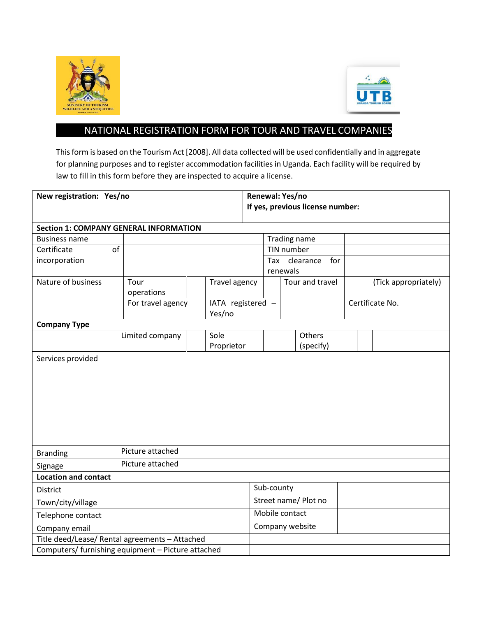



## NATIONAL REGISTRATION FORM FOR TOUR AND TRAVEL COMPANIES

This form is based on the Tourism Act [2008]. All data collected will be used confidentially and in aggregate for planning purposes and to register accommodation facilities in Uganda. Each facility will be required by law to fill in this form before they are inspected to acquire a license.

| New registration: Yes/no                           | Renewal: Yes/no                  |                             |                      |                                     |  |                      |  |  |  |  |  |  |  |
|----------------------------------------------------|----------------------------------|-----------------------------|----------------------|-------------------------------------|--|----------------------|--|--|--|--|--|--|--|
|                                                    | If yes, previous license number: |                             |                      |                                     |  |                      |  |  |  |  |  |  |  |
|                                                    |                                  |                             |                      |                                     |  |                      |  |  |  |  |  |  |  |
| <b>Section 1: COMPANY GENERAL INFORMATION</b>      |                                  |                             |                      |                                     |  |                      |  |  |  |  |  |  |  |
| <b>Business name</b>                               |                                  |                             |                      | Trading name                        |  |                      |  |  |  |  |  |  |  |
| of<br>Certificate                                  |                                  | TIN number                  |                      |                                     |  |                      |  |  |  |  |  |  |  |
| incorporation                                      |                                  |                             |                      | Tax<br>clearance<br>for<br>renewals |  |                      |  |  |  |  |  |  |  |
| Nature of business                                 | Tour<br>operations               | Travel agency               |                      | Tour and travel                     |  | (Tick appropriately) |  |  |  |  |  |  |  |
|                                                    | For travel agency                | IATA registered -<br>Yes/no |                      |                                     |  | Certificate No.      |  |  |  |  |  |  |  |
| <b>Company Type</b>                                |                                  |                             |                      |                                     |  |                      |  |  |  |  |  |  |  |
|                                                    | Limited company                  | Sole                        |                      | Others                              |  |                      |  |  |  |  |  |  |  |
|                                                    |                                  | Proprietor                  |                      | (specify)                           |  |                      |  |  |  |  |  |  |  |
|                                                    |                                  |                             |                      |                                     |  |                      |  |  |  |  |  |  |  |
| <b>Branding</b>                                    | Picture attached                 |                             |                      |                                     |  |                      |  |  |  |  |  |  |  |
| Signage                                            | Picture attached                 |                             |                      |                                     |  |                      |  |  |  |  |  |  |  |
| <b>Location and contact</b>                        |                                  |                             |                      |                                     |  |                      |  |  |  |  |  |  |  |
| <b>District</b>                                    |                                  | Sub-county                  |                      |                                     |  |                      |  |  |  |  |  |  |  |
| Town/city/village                                  |                                  |                             | Street name/ Plot no |                                     |  |                      |  |  |  |  |  |  |  |
| Telephone contact                                  |                                  |                             |                      | Mobile contact                      |  |                      |  |  |  |  |  |  |  |
| Company email                                      |                                  |                             | Company website      |                                     |  |                      |  |  |  |  |  |  |  |
| Title deed/Lease/ Rental agreements - Attached     |                                  |                             |                      |                                     |  |                      |  |  |  |  |  |  |  |
| Computers/ furnishing equipment - Picture attached |                                  |                             |                      |                                     |  |                      |  |  |  |  |  |  |  |